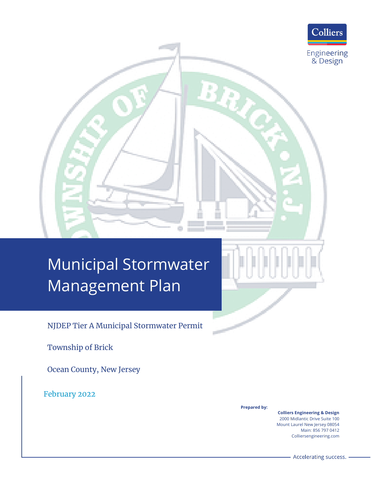

# Municipal Stormwater Management Plan

NJDEP Tier A Municipal Stormwater Permit

Township of Brick

Ocean County, New Jersey

February 2022

**Prepared by:**

**Colliers Engineering & Design** 2000 Midlantic Drive Suite 100 Mount Laurel New Jersey 08054 Main: 856 797 0412 Colliersengineering.com

Accelerating success.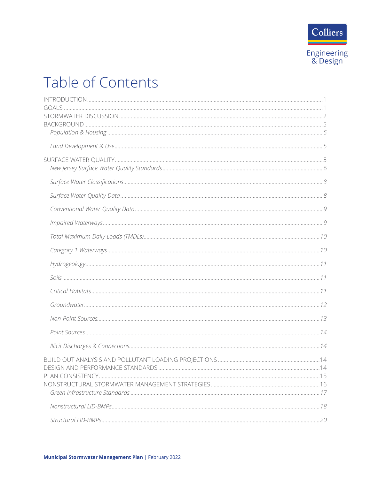

## Table of Contents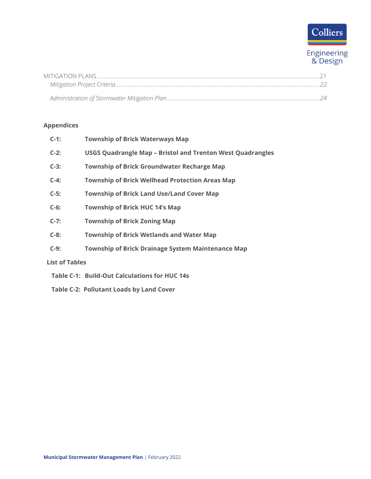# Colliers

Engineering<br>& Design

## **Appendices**

|                       | $C-1$ : | <b>Township of Brick Waterways Map</b>                            |
|-----------------------|---------|-------------------------------------------------------------------|
|                       | $C-2$ : | <b>USGS Quadrangle Map - Bristol and Trenton West Quadrangles</b> |
|                       | $C-3:$  | <b>Township of Brick Groundwater Recharge Map</b>                 |
|                       | $C-4$ : | <b>Township of Brick Wellhead Protection Areas Map</b>            |
|                       | $C-5$ : | <b>Township of Brick Land Use/Land Cover Map</b>                  |
|                       | $C-6$ : | <b>Township of Brick HUC 14's Map</b>                             |
|                       | $C-7:$  | <b>Township of Brick Zoning Map</b>                               |
|                       | $C-8$ : | <b>Township of Brick Wetlands and Water Map</b>                   |
|                       | $C-9$ : | <b>Township of Brick Drainage System Maintenance Map</b>          |
| <b>List of Tables</b> |         |                                                                   |
|                       |         | Table C-1: Build-Out Calculations for HUC 14s                     |

 **Table C-2: Pollutant Loads by Land Cover**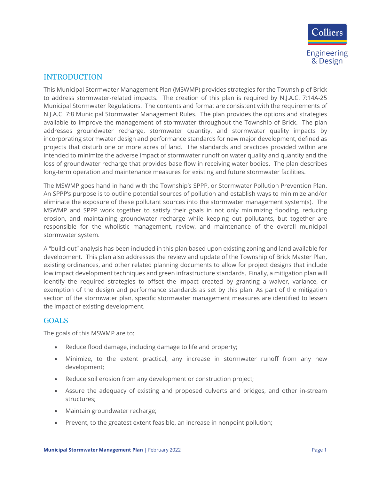

## <span id="page-3-0"></span>INTRODUCTION

This Municipal Stormwater Management Plan (MSWMP) provides strategies for the Township of Brick to address stormwater-related impacts. The creation of this plan is required by N.J.A.C. 7:14A-25 Municipal Stormwater Regulations. The contents and format are consistent with the requirements of N.J.A.C. 7:8 Municipal Stormwater Management Rules. The plan provides the options and strategies available to improve the management of stormwater throughout the Township of Brick. The plan addresses groundwater recharge, stormwater quantity, and stormwater quality impacts by incorporating stormwater design and performance standards for new major development, defined as projects that disturb one or more acres of land. The standards and practices provided within are intended to minimize the adverse impact of stormwater runoff on water quality and quantity and the loss of groundwater recharge that provides base flow in receiving water bodies. The plan describes long-term operation and maintenance measures for existing and future stormwater facilities.

The MSWMP goes hand in hand with the Township's SPPP, or Stormwater Pollution Prevention Plan. An SPPP's purpose is to outline potential sources of pollution and establish ways to minimize and/or eliminate the exposure of these pollutant sources into the stormwater management system(s). The MSWMP and SPPP work together to satisfy their goals in not only minimizing flooding, reducing erosion, and maintaining groundwater recharge while keeping out pollutants, but together are responsible for the wholistic management, review, and maintenance of the overall municipal stormwater system.

A "build-out" analysis has been included in this plan based upon existing zoning and land available for development. This plan also addresses the review and update of the Township of Brick Master Plan, existing ordinances, and other related planning documents to allow for project designs that include low impact development techniques and green infrastructure standards. Finally, a mitigation plan will identify the required strategies to offset the impact created by granting a waiver, variance, or exemption of the design and performance standards as set by this plan. As part of the mitigation section of the stormwater plan, specific stormwater management measures are identified to lessen the impact of existing development.

### <span id="page-3-1"></span>GOALS

The goals of this MSWMP are to:

- Reduce flood damage, including damage to life and property;
- Minimize, to the extent practical, any increase in stormwater runoff from any new development;
- Reduce soil erosion from any development or construction project;
- Assure the adequacy of existing and proposed culverts and bridges, and other in-stream structures;
- Maintain groundwater recharge;
- Prevent, to the greatest extent feasible, an increase in nonpoint pollution;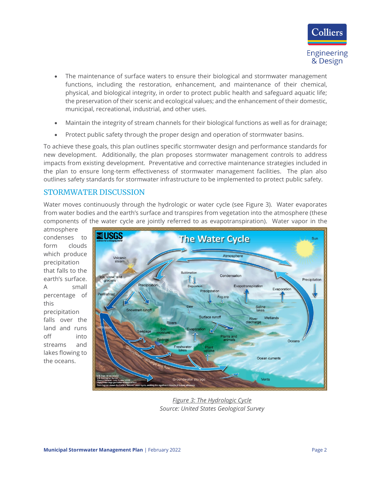

- The maintenance of surface waters to ensure their biological and stormwater management functions, including the restoration, enhancement, and maintenance of their chemical, physical, and biological integrity, in order to protect public health and safeguard aquatic life; the preservation of their scenic and ecological values; and the enhancement of their domestic, municipal, recreational, industrial, and other uses.
- Maintain the integrity of stream channels for their biological functions as well as for drainage;
- Protect public safety through the proper design and operation of stormwater basins.

To achieve these goals, this plan outlines specific stormwater design and performance standards for new development. Additionally, the plan proposes stormwater management controls to address impacts from existing development. Preventative and corrective maintenance strategies included in the plan to ensure long-term effectiveness of stormwater management facilities. The plan also outlines safety standards for stormwater infrastructure to be implemented to protect public safety.

### <span id="page-4-0"></span>STORMWATER DISCUSSION

Water moves continuously through the hydrologic or water cycle (see Figure 3). Water evaporates from water bodies and the earth's surface and transpires from vegetation into the atmosphere (these components of the water cycle are jointly referred to as evapotranspiration). Water vapor in the

atmosphere condenses to form clouds which produce precipitation that falls to the earth's surface. A small percentage of this precipitation falls over the land and runs off into streams and lakes flowing to the oceans.



*Figure 3: The Hydrologic Cycle Source: United States Geological Survey*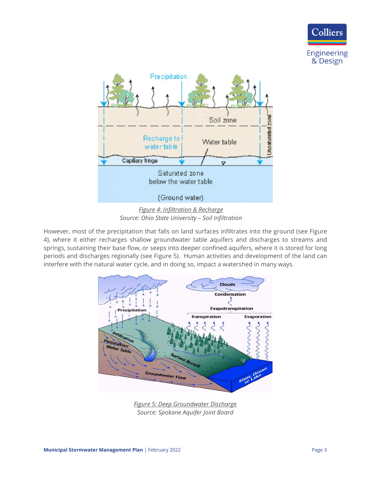



However, most of the precipitation that falls on land surfaces infiltrates into the ground (see Figure 4), where it either recharges shallow groundwater table aquifers and discharges to streams and springs, sustaining their base flow, or seeps into deeper confined aquifers, where it is stored for long periods and discharges regionally (see Figure 5). Human activities and development of the land can interfere with the natural water cycle, and in doing so, impact a watershed in many ways.



*Figure 5: Deep Groundwater Discharge Source: Spokane Aquifer Joint Board*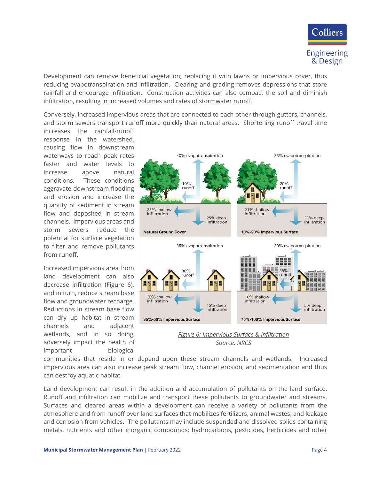

Development can remove beneficial vegetation; replacing it with lawns or impervious cover, thus reducing evapotranspiration and infiltration. Clearing and grading removes depressions that store rainfall and encourage infiltration. Construction activities can also compact the soil and diminish infiltration, resulting in increased volumes and rates of stormwater runoff.

Conversely, increased impervious areas that are connected to each other through gutters, channels, and storm sewers transport runoff more quickly than natural areas. Shortening runoff travel time

increases the rainfall-runoff response in the watershed, causing flow in downstream waterways to reach peak rates faster and water levels to increase above natural conditions. These conditions aggravate downstream flooding and erosion and increase the quantity of sediment in stream flow and deposited in stream channels. Impervious areas and storm sewers reduce the potential for surface vegetation to filter and remove pollutants from runoff.

Increased impervious area from land development can also decrease infiltration (Figure 6), and in turn, reduce stream base flow and groundwater recharge. Reductions in stream base flow can dry up habitat in stream channels and adjacent wetlands, and in so doing, adversely impact the health of important biological



*Figure 6: Impervious Surface & Infiltration Source: NRCS*

communities that reside in or depend upon these stream channels and wetlands. Increased impervious area can also increase peak stream flow, channel erosion, and sedimentation and thus can destroy aquatic habitat.

Land development can result in the addition and accumulation of pollutants on the land surface. Runoff and infiltration can mobilize and transport these pollutants to groundwater and streams. Surfaces and cleared areas within a development can receive a variety of pollutants from the atmosphere and from runoff over land surfaces that mobilizes fertilizers, animal wastes, and leakage and corrosion from vehicles. The pollutants may include suspended and dissolved solids containing metals, nutrients and other inorganic compounds; hydrocarbons, pesticides, herbicides and other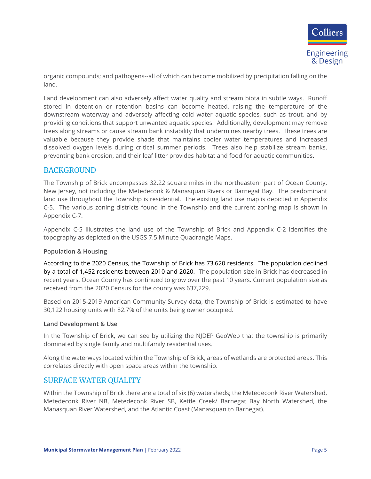

organic compounds; and pathogens--all of which can become mobilized by precipitation falling on the land.

Land development can also adversely affect water quality and stream biota in subtle ways. Runoff stored in detention or retention basins can become heated, raising the temperature of the downstream waterway and adversely affecting cold water aquatic species, such as trout, and by providing conditions that support unwanted aquatic species. Additionally, development may remove trees along streams or cause stream bank instability that undermines nearby trees. These trees are valuable because they provide shade that maintains cooler water temperatures and increased dissolved oxygen levels during critical summer periods. Trees also help stabilize stream banks, preventing bank erosion, and their leaf litter provides habitat and food for aquatic communities.

### <span id="page-7-0"></span>BACKGROUND

The Township of Brick encompasses 32.22 square miles in the northeastern part of Ocean County, New Jersey, not including the Metedeconk & Manasquan Rivers or Barnegat Bay. The predominant land use throughout the Township is residential. The existing land use map is depicted in Appendix C-5. The various zoning districts found in the Township and the current zoning map is shown in Appendix C-7.

Appendix C-5 illustrates the land use of the Township of Brick and Appendix C-2 identifies the topography as depicted on the USGS 7.5 Minute Quadrangle Maps.

#### <span id="page-7-1"></span>**Population & Housing**

According to the 2020 Census, the Township of Brick has 73,620 residents. The population declined by a total of 1,452 residents between 2010 and 2020. The population size in Brick has decreased in recent years. Ocean County has continued to grow over the past 10 years. Current population size as received from the 2020 Census for the county was 637,229.

Based on 2015-2019 American Community Survey data, the Township of Brick is estimated to have 30,122 housing units with 82.7% of the units being owner occupied.

#### <span id="page-7-2"></span>**Land Development & Use**

In the Township of Brick, we can see by utilizing the NJDEP GeoWeb that the township is primarily dominated by single family and multifamily residential uses.

Along the waterways located within the Township of Brick, areas of wetlands are protected areas. This correlates directly with open space areas within the township.

### <span id="page-7-3"></span>SURFACE WATER QUALITY

Within the Township of Brick there are a total of six (6) watersheds; the Metedeconk River Watershed, Metedeconk River NB, Metedeconk River SB, Kettle Creek/ Barnegat Bay North Watershed, the Manasquan River Watershed, and the Atlantic Coast (Manasquan to Barnegat).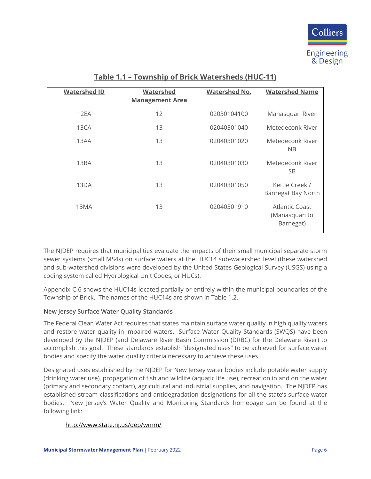

| <b>Watershed ID</b> | <b>Watershed</b><br><b>Management Area</b> | <b>Watershed No.</b> | <b>Watershed Name</b>                               |
|---------------------|--------------------------------------------|----------------------|-----------------------------------------------------|
| 12EA                | 12                                         | 02030104100          | Manasquan River                                     |
| 13CA                | 13                                         | 02040301040          | Metedeconk River                                    |
| 13AA                | 13                                         | 02040301020          | Metedeconk River<br><b>NB</b>                       |
| 13BA                | 13                                         | 02040301030          | Metedeconk River<br><b>SB</b>                       |
| 13DA                | 13                                         | 02040301050          | Kettle Creek /<br>Barnegat Bay North                |
| 13MA                | 13                                         | 02040301910          | <b>Atlantic Coast</b><br>(Manasquan to<br>Barnegat) |

## **Table 1.1 – Township of Brick Watersheds (HUC-11)**

The NJDEP requires that municipalities evaluate the impacts of their small municipal separate storm sewer systems (small MS4s) on surface waters at the HUC14 sub-watershed level (these watershed and sub-watershed divisions were developed by the United States Geological Survey (USGS) using a coding system called Hydrological Unit Codes, or HUCs).

Appendix C-6 shows the HUC14s located partially or entirely within the municipal boundaries of the Township of Brick. The names of the HUC14s are shown in Table 1.2.

### <span id="page-8-0"></span>**New Jersey Surface Water Quality Standards**

The Federal Clean Water Act requires that states maintain surface water quality in high quality waters and restore water quality in impaired waters. Surface Water Quality Standards (SWQS) have been developed by the NJDEP (and Delaware River Basin Commission (DRBC) for the Delaware River) to accomplish this goal. These standards establish "designated uses" to be achieved for surface water bodies and specify the water quality criteria necessary to achieve these uses.

Designated uses established by the NJDEP for New Jersey water bodies include potable water supply (drinking water use), propagation of fish and wildlife (aquatic life use), recreation in and on the water (primary and secondary contact), agricultural and industrial supplies, and navigation. The NJDEP has established stream classifications and antidegradation designations for all the state's surface water bodies. New Jersey's Water Quality and Monitoring Standards homepage can be found at the following link:

### <http://www.state.nj.us/dep/wmm/>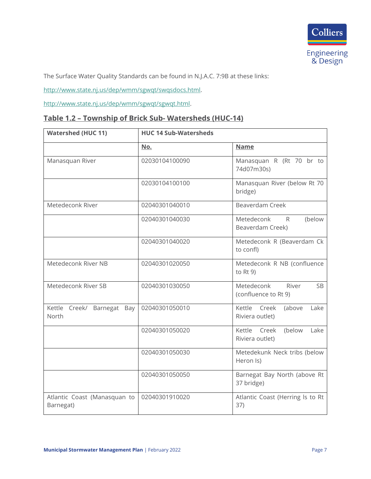

The Surface Water Quality Standards can be found in N.J.A.C. 7:9B at these links:

[http://www.state.nj.us/dep/wmm/sgwqt/swqsdocs.html.](http://www.state.nj.us/dep/wmm/sgwqt/swqsdocs.html)

[http://www.state.nj.us/dep/wmm/sgwqt/sgwqt.html.](http://www.state.nj.us/dep/wmm/sgwqt/sgwqt.html)

## **Table 1.2 – Township of Brick Sub- Watersheds (HUC-14)**

| <b>Watershed (HUC 11)</b>                 | <b>HUC 14 Sub-Watersheds</b> |                                                          |  |
|-------------------------------------------|------------------------------|----------------------------------------------------------|--|
|                                           | <u>No.</u>                   | <b>Name</b>                                              |  |
| Manasquan River                           | 02030104100090               | Manasquan R (Rt 70 br to<br>74d07m30s)                   |  |
|                                           | 02030104100100               | Manasquan River (below Rt 70<br>bridge)                  |  |
| Metedeconk River                          | 02040301040010               | Beaverdam Creek                                          |  |
|                                           | 02040301040030               | Metedeconk<br>(below<br>R<br>Beaverdam Creek)            |  |
|                                           | 02040301040020               | Metedeconk R (Beaverdam Ck<br>to confl)                  |  |
| Metedeconk River NB                       | 02040301020050               | Metedeconk R NB (confluence<br>to $Rt$ 9)                |  |
| Metedeconk River SB                       | 02040301030050               | Metedeconk<br>River<br><b>SB</b><br>(confluence to Rt 9) |  |
| Kettle Creek/ Barnegat Bay<br>North       | 02040301050010               | Kettle Creek<br>Lake<br>(above<br>Riviera outlet)        |  |
|                                           | 02040301050020               | Kettle<br>Creek<br>(below<br>Lake<br>Riviera outlet)     |  |
|                                           | 02040301050030               | Metedekunk Neck tribs (below<br>Heron Is)                |  |
|                                           | 02040301050050               | Barnegat Bay North (above Rt<br>37 bridge)               |  |
| Atlantic Coast (Manasquan to<br>Barnegat) | 02040301910020               | Atlantic Coast (Herring Is to Rt<br>37)                  |  |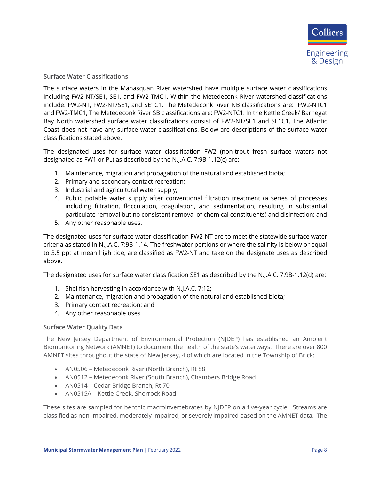#### <span id="page-10-0"></span>**Surface Water Classifications**

The surface waters in the Manasquan River watershed have multiple surface water classifications including FW2-NT/SE1, SE1, and FW2-TMC1. Within the Metedeconk River watershed classifications include: FW2-NT, FW2-NT/SE1, and SE1C1. The Metedeconk River NB classifications are: FW2-NTC1 and FW2-TMC1, The Metedeconk River SB classifications are: FW2-NTC1. In the Kettle Creek/ Barnegat Bay North watershed surface water classifications consist of FW2-NT/SE1 and SE1C1. The Atlantic Coast does not have any surface water classifications. Below are descriptions of the surface water classifications stated above.

The designated uses for surface water classification FW2 (non-trout fresh surface waters not designated as FW1 or PL) as described by the N.J.A.C. 7:9B-1.12(c) are:

- 1. Maintenance, migration and propagation of the natural and established biota;
- 2. Primary and secondary contact recreation;
- 3. Industrial and agricultural water supply;
- 4. Public potable water supply after conventional filtration treatment (a series of processes including filtration, flocculation, coagulation, and sedimentation, resulting in substantial particulate removal but no consistent removal of chemical constituents) and disinfection; and
- 5. Any other reasonable uses.

The designated uses for surface water classification FW2-NT are to meet the statewide surface water criteria as stated in N.J.A.C. 7:9B-1.14. The freshwater portions or where the salinity is below or equal to 3.5 ppt at mean high tide, are classified as FW2-NT and take on the designate uses as described above.

The designated uses for surface water classification SE1 as described by the N.J.A.C. 7:9B-1.12(d) are:

- 1. Shellfish harvesting in accordance with N.J.A.C. 7:12;
- 2. Maintenance, migration and propagation of the natural and established biota;
- 3. Primary contact recreation; and
- 4. Any other reasonable uses

#### <span id="page-10-1"></span>**Surface Water Quality Data**

The New Jersey Department of Environmental Protection (NJDEP) has established an Ambient Biomonitoring Network (AMNET) to document the health of the state's waterways. There are over 800 AMNET sites throughout the state of New Jersey, 4 of which are located in the Township of Brick:

- AN0506 Metedeconk River (North Branch), Rt 88
- AN0512 Metedeconk River (South Branch), Chambers Bridge Road
- AN0514 Cedar Bridge Branch, Rt 70
- AN0515A Kettle Creek, Shorrock Road

These sites are sampled for benthic macroinvertebrates by NJDEP on a five-year cycle. Streams are classified as non-impaired, moderately impaired, or severely impaired based on the AMNET data. The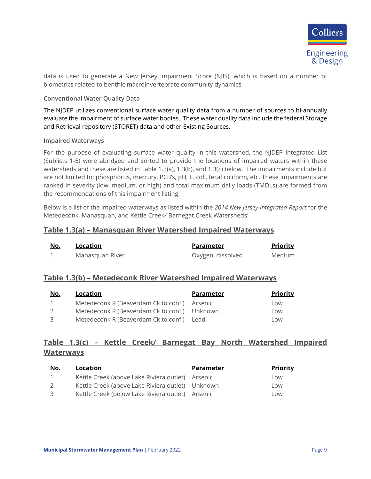

data is used to generate a New Jersey Impairment Score (NJIS), which is based on a number of biometrics related to benthic macroinvertebrate community dynamics.

#### <span id="page-11-0"></span>**Conventional Water Quality Data**

The NJDEP utilizes conventional surface water quality data from a number of sources to bi-annually evaluate the impairment of surface water bodies. These water quality data include the federal Storage and Retrieval repository (STORET) data and other Existing Sources.

#### <span id="page-11-1"></span>**Impaired Waterways**

For the purpose of evaluating surface water quality in this watershed, the NJDEP Integrated List (Sublists 1-5) were abridged and sorted to provide the locations of impaired waters within these watersheds and these are listed in Table 1.3(a), 1.3(b), and 1.3(c) below. The impairments include but are not limited to: phosphorus, mercury, PCB's, pH, E. coli, fecal coliform, etc. These impairments are ranked in severity (low, medium, or high) and total maximum daily loads (TMDLs) are formed from the recommendations of this impairment listing.

Below is a list of the impaired waterways as listed within the *2014 New Jersey Integrated Report* for the Metedeconk, Manasquan, and Kettle Creek/ Barnegat Creek Watersheds:

#### **Table 1.3(a) – Manasquan River Watershed Impaired Waterways**

| <u>No.</u> | Location        | Parameter         | <b>Priority</b> |
|------------|-----------------|-------------------|-----------------|
|            | Manasquan River | Oxygen, dissolved | Medium          |

### **Table 1.3(b) – Metedeconk River Watershed Impaired Waterways**

| <u>No.</u>     | Location                                     | Parameter | <b>Priority</b> |
|----------------|----------------------------------------------|-----------|-----------------|
| $\overline{1}$ | Metedeconk R (Beaverdam Ck to confl) Arsenic |           | Low             |
| $\mathcal{L}$  | Metedeconk R (Beaverdam Ck to confl) Unknown |           | l ow            |
| 3              | Metedeconk R (Beaverdam Ck to confl) Lead    |           | l ow            |

## **Table 1.3(c) – Kettle Creek/ Barnegat Bay North Watershed Impaired Waterways**

| No.           | Location                                         | <b>Parameter</b> | <b>Priority</b> |
|---------------|--------------------------------------------------|------------------|-----------------|
| $\mathbf{1}$  | Kettle Creek (above Lake Riviera outlet) Arsenic |                  | Low             |
| $\mathcal{L}$ | Kettle Creek (above Lake Riviera outlet) Unknown |                  | Low             |
| 3             | Kettle Creek (below Lake Riviera outlet) Arsenic |                  | l ow            |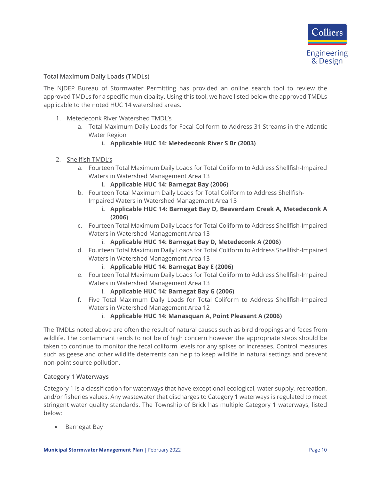

#### <span id="page-12-0"></span>**Total Maximum Daily Loads (TMDLs)**

The NJDEP Bureau of Stormwater Permitting has provided an online search tool to review the approved TMDLs for a specific municipality. Using this tool, we have listed below the approved TMDLs applicable to the noted HUC 14 watershed areas.

- 1. Metedeconk River Watershed TMDL's
	- a. Total Maximum Daily Loads for Fecal Coliform to Address 31 Streams in the Atlantic Water Region

#### **i. Applicable HUC 14: Metedeconk River S Br (2003)**

- 2. Shellfish TMDL's
	- a. Fourteen Total Maximum Daily Loads for Total Coliform to Address Shellfish-Impaired Waters in Watershed Management Area 13
		- **i. Applicable HUC 14: Barnegat Bay (2006)**
	- b. Fourteen Total Maximum Daily Loads for Total Coliform to Address Shellfish-Impaired Waters in Watershed Management Area 13
		- **i. Applicable HUC 14: Barnegat Bay D, Beaverdam Creek A, Metedeconk A (2006)**
	- c. Fourteen Total Maximum Daily Loads for Total Coliform to Address Shellfish-Impaired Waters in Watershed Management Area 13
		- i. **Applicable HUC 14: Barnegat Bay D, Metedeconk A (2006)**
	- d. Fourteen Total Maximum Daily Loads for Total Coliform to Address Shellfish-Impaired Waters in Watershed Management Area 13
		- i. **Applicable HUC 14: Barnegat Bay E (2006)**
	- e. Fourteen Total Maximum Daily Loads for Total Coliform to Address Shellfish-Impaired Waters in Watershed Management Area 13
		- i. **Applicable HUC 14: Barnegat Bay G (2006)**
	- f. Five Total Maximum Daily Loads for Total Coliform to Address Shellfish-Impaired Waters in Watershed Management Area 12
		- i. **Applicable HUC 14: Manasquan A, Point Pleasant A (2006)**

The TMDLs noted above are often the result of natural causes such as bird droppings and feces from wildlife. The contaminant tends to not be of high concern however the appropriate steps should be taken to continue to monitor the fecal coliform levels for any spikes or increases. Control measures such as geese and other wildlife deterrents can help to keep wildlife in natural settings and prevent non-point source pollution.

#### <span id="page-12-1"></span>**Category 1 Waterways**

Category 1 is a classification for waterways that have exceptional ecological, water supply, recreation, and/or fisheries values. Any wastewater that discharges to Category 1 waterways is regulated to meet stringent water quality standards. The Township of Brick has multiple Category 1 waterways, listed below:

• Barnegat Bay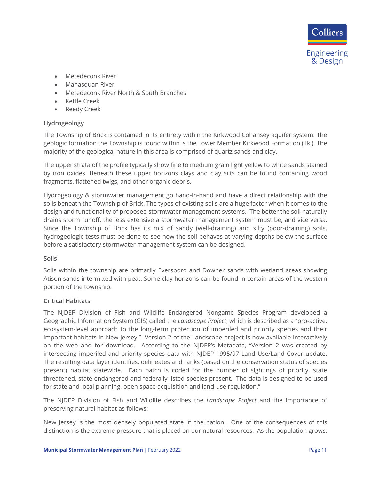

- Metedeconk River
- Manasquan River
- Metedeconk River North & South Branches
- Kettle Creek
- Reedy Creek

#### <span id="page-13-0"></span>**Hydrogeology**

The Township of Brick is contained in its entirety within the Kirkwood Cohansey aquifer system. The geologic formation the Township is found within is the Lower Member Kirkwood Formation (Tkl). The majority of the geological nature in this area is comprised of quartz sands and clay.

The upper strata of the profile typically show fine to medium grain light yellow to white sands stained by iron oxides. Beneath these upper horizons clays and clay silts can be found containing wood fragments, flattened twigs, and other organic debris.

Hydrogeology & stormwater management go hand-in-hand and have a direct relationship with the soils beneath the Township of Brick. The types of existing soils are a huge factor when it comes to the design and functionality of proposed stormwater management systems. The better the soil naturally drains storm runoff, the less extensive a stormwater management system must be, and vice versa. Since the Township of Brick has its mix of sandy (well-draining) and silty (poor-draining) soils, hydrogeologic tests must be done to see how the soil behaves at varying depths below the surface before a satisfactory stormwater management system can be designed.

#### <span id="page-13-1"></span>**Soils**

Soils within the township are primarily Eversboro and Downer sands with wetland areas showing Atison sands intermixed with peat. Some clay horizons can be found in certain areas of the western portion of the township.

#### <span id="page-13-2"></span>**Critical Habitats**

The NJDEP Division of Fish and Wildlife Endangered Nongame Species Program developed a Geographic Information System (GIS) called the *Landscape Project*, which is described as a "pro-active, ecosystem-level approach to the long-term protection of imperiled and priority species and their important habitats in New Jersey." Version 2 of the Landscape project is now available interactively on the web and for download. According to the NJDEP's Metadata, "Version 2 was created by intersecting imperiled and priority species data with NJDEP 1995/97 Land Use/Land Cover update. The resulting data layer identifies, delineates and ranks (based on the conservation status of species present) habitat statewide. Each patch is coded for the number of sightings of priority, state threatened, state endangered and federally listed species present. The data is designed to be used for state and local planning, open space acquisition and land-use regulation."

The NJDEP Division of Fish and Wildlife describes the *Landscape Project* and the importance of preserving natural habitat as follows:

New Jersey is the most densely populated state in the nation. One of the consequences of this distinction is the extreme pressure that is placed on our natural resources. As the population grows,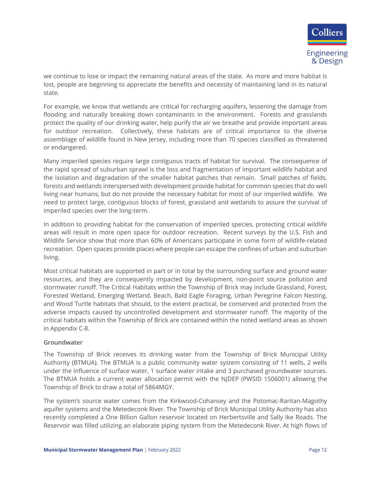

we continue to lose or impact the remaining natural areas of the state. As more and more habitat is lost, people are beginning to appreciate the benefits and necessity of maintaining land in its natural state.

For example, we know that wetlands are critical for recharging aquifers, lessening the damage from flooding and naturally breaking down contaminants in the environment. Forests and grasslands protect the quality of our drinking water, help purify the air we breathe and provide important areas for outdoor recreation. Collectively, these habitats are of critical importance to the diverse assemblage of wildlife found in New Jersey, including more than 70 species classified as threatened or endangered.

Many imperiled species require large contiguous tracts of habitat for survival. The consequence of the rapid spread of suburban sprawl is the loss and fragmentation of important wildlife habitat and the isolation and degradation of the smaller habitat patches that remain. Small patches of fields, forests and wetlands interspersed with development provide habitat for common species that do well living near humans, but do not provide the necessary habitat for most of our imperiled wildlife. We need to protect large, contiguous blocks of forest, grassland and wetlands to assure the survival of imperiled species over the long-term.

In addition to providing habitat for the conservation of imperiled species, protecting critical wildlife areas will result in more open space for outdoor recreation. Recent surveys by the U.S. Fish and Wildlife Service show that more than 60% of Americans participate in some form of wildlife-related recreation. Open spaces provide places where people can escape the confines of urban and suburban living.

Most critical habitats are supported in part or in total by the surrounding surface and ground water resources, and they are consequently impacted by development, non-point source pollution and stormwater runoff. The Critical Habitats within the Township of Brick may include Grassland, Forest, Forested Wetland, Emerging Wetland, Beach, Bald Eagle Foraging, Urban Peregrine Falcon Nesting, and Wood Turtle habitats that should, to the extent practical, be conserved and protected from the adverse impacts caused by uncontrolled development and stormwater runoff. The majority of the critical habitats within the Township of Brick are contained within the noted wetland areas as shown in Appendix C-8.

#### <span id="page-14-0"></span>**Groundwater**

The Township of Brick receives its drinking water from the Township of Brick Municipal Utility Authority (BTMUA). The BTMUA is a public community water system consisting of 11 wells, 2 wells under the influence of surface water, 1 surface water intake and 3 purchased groundwater sources. The BTMUA holds a current water allocation permit with the NJDEP (PWSID 1506001) allowing the Township of Brick to draw a total of 5864MGY.

The system's source water comes from the Kirkwood-Cohansey and the Potomac-Raritan-Magothy aquifer systems and the Metedeconk River. The Township of Brick Municipal Utility Authority has also recently completed a One Billion Gallon reservoir located on Herbertsville and Sally Ike Roads. The Reservoir was filled utilizing an elaborate piping system from the Metedeconk River. At high flows of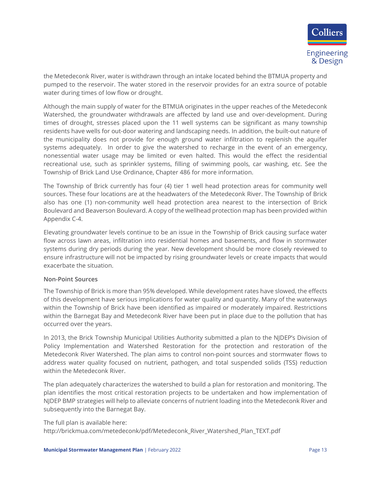

the Metedeconk River, water is withdrawn through an intake located behind the BTMUA property and pumped to the reservoir. The water stored in the reservoir provides for an extra source of potable water during times of low flow or drought.

Although the main supply of water for the BTMUA originates in the upper reaches of the Metedeconk Watershed, the groundwater withdrawals are affected by land use and over-development. During times of drought, stresses placed upon the 11 well systems can be significant as many township residents have wells for out-door watering and landscaping needs. In addition, the built-out nature of the municipality does not provide for enough ground water infiltration to replenish the aquifer systems adequately. In order to give the watershed to recharge in the event of an emergency, nonessential water usage may be limited or even halted. This would the effect the residential recreational use, such as sprinkler systems, filling of swimming pools, car washing, etc. See the Township of Brick Land Use Ordinance, Chapter 486 for more information.

The Township of Brick currently has four (4) tier 1 well head protection areas for community well sources. These four locations are at the headwaters of the Metedeconk River. The Township of Brick also has one (1) non-community well head protection area nearest to the intersection of Brick Boulevard and Beaverson Boulevard. A copy of the wellhead protection map has been provided within Appendix C-4.

Elevating groundwater levels continue to be an issue in the Township of Brick causing surface water flow across lawn areas, infiltration into residential homes and basements, and flow in stormwater systems during dry periods during the year. New development should be more closely reviewed to ensure infrastructure will not be impacted by rising groundwater levels or create impacts that would exacerbate the situation.

#### <span id="page-15-0"></span>**Non-Point Sources**

The Township of Brick is more than 95% developed. While development rates have slowed, the effects of this development have serious implications for water quality and quantity. Many of the waterways within the Township of Brick have been identified as impaired or moderately impaired. Restrictions within the Barnegat Bay and Metedeconk River have been put in place due to the pollution that has occurred over the years.

In 2013, the Brick Township Municipal Utilities Authority submitted a plan to the NJDEP's Division of Policy Implementation and Watershed Restoration for the protection and restoration of the Metedeconk River Watershed. The plan aims to control non-point sources and stormwater flows to address water quality focused on nutrient, pathogen, and total suspended solids (TSS) reduction within the Metedeconk River.

The plan adequately characterizes the watershed to build a plan for restoration and monitoring. The plan identifies the most critical restoration projects to be undertaken and how implementation of NJDEP BMP strategies will help to alleviate concerns of nutrient loading into the Metedeconk River and subsequently into the Barnegat Bay.

The full plan is available here:

http://brickmua.com/metedeconk/pdf/Metedeconk\_River\_Watershed\_Plan\_TEXT.pdf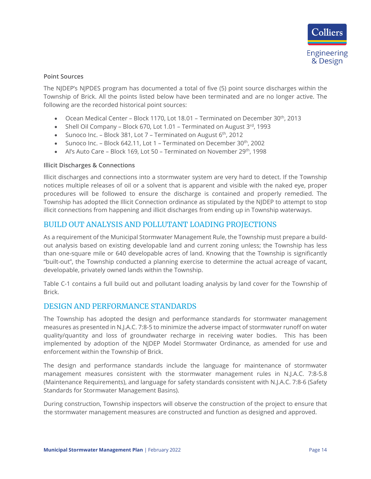#### <span id="page-16-0"></span>**Point Sources**

The NJDEP's NJPDES program has documented a total of five (5) point source discharges within the Township of Brick. All the points listed below have been terminated and are no longer active. The following are the recorded historical point sources:

- Ocean Medical Center Block 1170, Lot 18.01 Terminated on December 30<sup>th</sup>, 2013
- Shell Oil Company Block 670, Lot 1.01 Terminated on August  $3^{rd}$ , 1993
- Sunoco Inc. Block 381, Lot  $7$  Terminated on August  $6<sup>th</sup>$ , 2012
- Sunoco Inc. Block 642.11, Lot 1 Terminated on December 30<sup>th</sup>, 2002
- Al's Auto Care Block 169, Lot 50 Terminated on November 29<sup>th</sup>, 1998

#### <span id="page-16-1"></span>**Illicit Discharges & Connections**

Illicit discharges and connections into a stormwater system are very hard to detect. If the Township notices multiple releases of oil or a solvent that is apparent and visible with the naked eye, proper procedures will be followed to ensure the discharge is contained and properly remedied. The Township has adopted the Illicit Connection ordinance as stipulated by the NJDEP to attempt to stop illicit connections from happening and illicit discharges from ending up in Township waterways.

## <span id="page-16-2"></span>BUILD OUT ANALYSIS AND POLLUTANT LOADING PROJECTIONS

As a requirement of the Municipal Stormwater Management Rule, the Township must prepare a buildout analysis based on existing developable land and current zoning unless; the Township has less than one-square mile or 640 developable acres of land. Knowing that the Township is significantly "built-out", the Township conducted a planning exercise to determine the actual acreage of vacant, developable, privately owned lands within the Township.

Table C-1 contains a full build out and pollutant loading analysis by land cover for the Township of Brick.

### <span id="page-16-3"></span>DESIGN AND PERFORMANCE STANDARDS

The Township has adopted the design and performance standards for stormwater management measures as presented in N.J.A.C. 7:8-5 to minimize the adverse impact of stormwater runoff on water quality/quantity and loss of groundwater recharge in receiving water bodies. This has been implemented by adoption of the NJDEP Model Stormwater Ordinance, as amended for use and enforcement within the Township of Brick.

The design and performance standards include the language for maintenance of stormwater management measures consistent with the stormwater management rules in N.J.A.C. 7:8-5.8 (Maintenance Requirements), and language for safety standards consistent with N.J.A.C. 7:8-6 (Safety Standards for Stormwater Management Basins).

During construction, Township inspectors will observe the construction of the project to ensure that the stormwater management measures are constructed and function as designed and approved.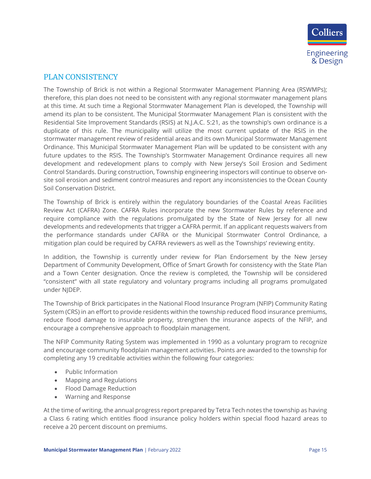

## <span id="page-17-0"></span>PLAN CONSISTENCY

The Township of Brick is not within a Regional Stormwater Management Planning Area (RSWMPs); therefore, this plan does not need to be consistent with any regional stormwater management plans at this time. At such time a Regional Stormwater Management Plan is developed, the Township will amend its plan to be consistent. The Municipal Stormwater Management Plan is consistent with the Residential Site Improvement Standards (RSIS) at N.J.A.C. 5:21, as the township's own ordinance is a duplicate of this rule. The municipality will utilize the most current update of the RSIS in the stormwater management review of residential areas and its own Municipal Stormwater Management Ordinance. This Municipal Stormwater Management Plan will be updated to be consistent with any future updates to the RSIS. The Township's Stormwater Management Ordinance requires all new development and redevelopment plans to comply with New Jersey's Soil Erosion and Sediment Control Standards. During construction, Township engineering inspectors will continue to observe onsite soil erosion and sediment control measures and report any inconsistencies to the Ocean County Soil Conservation District.

The Township of Brick is entirely within the regulatory boundaries of the Coastal Areas Facilities Review Act (CAFRA) Zone. CAFRA Rules incorporate the new Stormwater Rules by reference and require compliance with the regulations promulgated by the State of New Jersey for all new developments and redevelopments that trigger a CAFRA permit. If an applicant requests waivers from the performance standards under CAFRA or the Municipal Stormwater Control Ordinance, a mitigation plan could be required by CAFRA reviewers as well as the Townships' reviewing entity.

In addition, the Township is currently under review for Plan Endorsement by the New Jersey Department of Community Development, Office of Smart Growth for consistency with the State Plan and a Town Center designation. Once the review is completed, the Township will be considered "consistent" with all state regulatory and voluntary programs including all programs promulgated under NJDEP.

The Township of Brick participates in the National Flood Insurance Program (NFIP) Community Rating System (CRS) in an effort to provide residents within the township reduced flood insurance premiums, reduce flood damage to insurable property, strengthen the insurance aspects of the NFIP, and encourage a comprehensive approach to floodplain management.

The NFIP Community Rating System was implemented in 1990 as a voluntary program to recognize and encourage community floodplain management activities. Points are awarded to the township for completing any 19 creditable activities within the following four categories:

- Public Information
- Mapping and Regulations
- Flood Damage Reduction
- Warning and Response

At the time of writing, the annual progress report prepared by Tetra Tech notes the township as having a Class 6 rating which entitles flood insurance policy holders within special flood hazard areas to receive a 20 percent discount on premiums.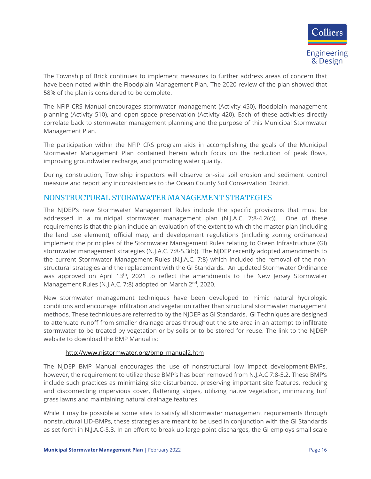The Township of Brick continues to implement measures to further address areas of concern that have been noted within the Floodplain Management Plan. The 2020 review of the plan showed that 58% of the plan is considered to be complete.

The NFIP CRS Manual encourages stormwater management (Activity 450), floodplain management planning (Activity 510), and open space preservation (Activity 420). Each of these activities directly correlate back to stormwater management planning and the purpose of this Municipal Stormwater Management Plan.

The participation within the NFIP CRS program aids in accomplishing the goals of the Municipal Stormwater Management Plan contained herein which focus on the reduction of peak flows, improving groundwater recharge, and promoting water quality.

During construction, Township inspectors will observe on-site soil erosion and sediment control measure and report any inconsistencies to the Ocean County Soil Conservation District.

### <span id="page-18-0"></span>NONSTRUCTURAL STORMWATER MANAGEMENT STRATEGIES

The NJDEP's new Stormwater Management Rules include the specific provisions that must be addressed in a municipal stormwater management plan (N.J.A.C. 7:8-4.2(c)). One of these requirements is that the plan include an evaluation of the extent to which the master plan (including the land use element), official map, and development regulations (including zoning ordinances) implement the principles of the Stormwater Management Rules relating to Green Infrastructure (GI) stormwater management strategies (N.J.A.C. 7:8-5.3(b)). The NJDEP recently adopted amendments to the current Stormwater Management Rules (N.J.A.C. 7:8) which included the removal of the nonstructural strategies and the replacement with the GI Standards. An updated Stormwater Ordinance was approved on April 13<sup>th</sup>, 2021 to reflect the amendments to The New Jersey Stormwater Management Rules (N.J.A.C. 7:8) adopted on March 2<sup>nd</sup>, 2020.

New stormwater management techniques have been developed to mimic natural hydrologic conditions and encourage infiltration and vegetation rather than structural stormwater management methods. These techniques are referred to by the NJDEP as GI Standards. GI Techniques are designed to attenuate runoff from smaller drainage areas throughout the site area in an attempt to infiltrate stormwater to be treated by vegetation or by soils or to be stored for reuse. The link to the NJDEP website to download the BMP Manual is:

#### [http://www.njstormwater.org/bmp\\_manual2.htm](http://www.njstormwater.org/bmp_manual2.htm)

The NJDEP BMP Manual encourages the use of nonstructural low impact development-BMPs, however, the requirement to utilize these BMP's has been removed from N.J.A.C 7:8-5.2. These BMP's include such practices as minimizing site disturbance, preserving important site features, reducing and disconnecting impervious cover, flattening slopes, utilizing native vegetation, minimizing turf grass lawns and maintaining natural drainage features.

While it may be possible at some sites to satisfy all stormwater management requirements through nonstructural LID-BMPs, these strategies are meant to be used in conjunction with the GI Standards as set forth in N.J.A.C-5.3. In an effort to break up large point discharges, the GI employs small scale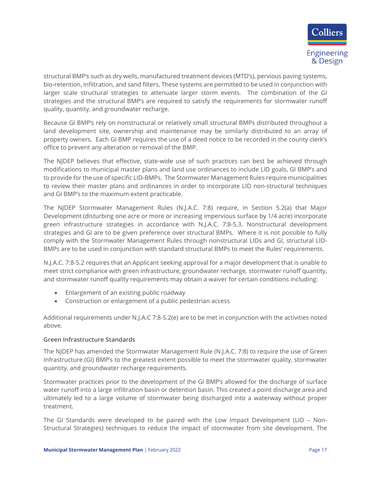

structural BMP's such as dry wells, manufactured treatment devices (MTD's), pervious paving systems, bio-retention, infiltration, and sand filters. These systems are permitted to be used in conjunction with larger scale structural strategies to attenuate larger storm events. The combination of the GI strategies and the structural BMP's are required to satisfy the requirements for stormwater runoff quality, quantity, and groundwater recharge.

Because GI BMP's rely on nonstructural or relatively small structural BMPs distributed throughout a land development site, ownership and maintenance may be similarly distributed to an array of property owners. Each GI BMP requires the use of a deed notice to be recorded in the county clerk's office to prevent any alteration or removal of the BMP.

The NJDEP believes that effective, state-wide use of such practices can best be achieved through modifications to municipal master plans and land use ordinances to include LID goals, GI BMP's and to provide for the use of specific LID-BMPs. The Stormwater Management Rules require municipalities to review their master plans and ordinances in order to incorporate LID non-structural techniques and GI BMP's to the maximum extent practicable.

The NJDEP Stormwater Management Rules (N.J.A.C. 7:8) require, in Section 5.2(a) that Major Development (disturbing one acre or more or increasing impervious surface by 1/4 acre) incorporate green infrastructure strategies in accordance with N.J.A.C. 7:8-5.3. Nonstructural development strategies and GI are to be given preference over structural BMPs. Where it is not possible to fully comply with the Stormwater Management Rules through nonstructural LIDs and GI, structural LID-BMPs are to be used in conjunction with standard structural BMPs to meet the Rules' requirements.

N.J.A.C. 7:8-5.2 requires that an Applicant seeking approval for a major development that is unable to meet strict compliance with green infrastructure, groundwater recharge, stormwater runoff quantity, and stormwater runoff quality requirements may obtain a waiver for certain conditions including:

- Enlargement of an existing public roadway
- Construction or enlargement of a public pedestrian access

Additional requirements under N.J.A.C 7:8-5.2(e) are to be met in conjunction with the activities noted above.

### <span id="page-19-0"></span>**Green Infrastructure Standards**

The NJDEP has amended the Stormwater Management Rule (N.J.A.C. 7:8) to require the use of Green Infrastructure (GI) BMP's to the greatest extent possible to meet the stormwater quality, stormwater quantity, and groundwater recharge requirements.

Stormwater practices prior to the development of the GI BMP's allowed for the discharge of surface water runoff into a large infiltration basin or detention basin. This created a point discharge area and ultimately led to a large volume of stormwater being discharged into a waterway without proper treatment.

The GI Standards were developed to be paired with the Low Impact Development (LID – Non-Structural Strategies) techniques to reduce the impact of stormwater from site development. The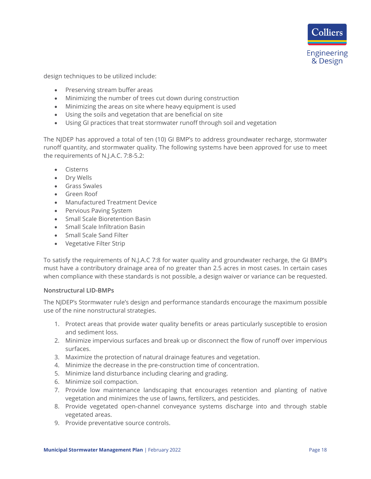

design techniques to be utilized include:

- Preserving stream buffer areas
- Minimizing the number of trees cut down during construction
- Minimizing the areas on site where heavy equipment is used
- Using the soils and vegetation that are beneficial on site
- Using GI practices that treat stormwater runoff through soil and vegetation

The NJDEP has approved a total of ten (10) GI BMP's to address groundwater recharge, stormwater runoff quantity, and stormwater quality. The following systems have been approved for use to meet the requirements of N.J.A.C. 7:8-5.2:

- Cisterns
- Dry Wells
- Grass Swales
- Green Roof
- Manufactured Treatment Device
- Pervious Paving System
- Small Scale Bioretention Basin
- Small Scale Infiltration Basin
- Small Scale Sand Filter
- Vegetative Filter Strip

To satisfy the requirements of N.J.A.C 7:8 for water quality and groundwater recharge, the GI BMP's must have a contributory drainage area of no greater than 2.5 acres in most cases. In certain cases when compliance with these standards is not possible, a design waiver or variance can be requested.

#### <span id="page-20-0"></span>**Nonstructural LID-BMPs**

The NJDEP's Stormwater rule's design and performance standards encourage the maximum possible use of the nine nonstructural strategies.

- 1. Protect areas that provide water quality benefits or areas particularly susceptible to erosion and sediment loss.
- 2. Minimize impervious surfaces and break up or disconnect the flow of runoff over impervious surfaces.
- 3. Maximize the protection of natural drainage features and vegetation.
- 4. Minimize the decrease in the pre-construction time of concentration.
- 5. Minimize land disturbance including clearing and grading.
- 6. Minimize soil compaction.
- 7. Provide low maintenance landscaping that encourages retention and planting of native vegetation and minimizes the use of lawns, fertilizers, and pesticides.
- 8. Provide vegetated open-channel conveyance systems discharge into and through stable vegetated areas.
- 9. Provide preventative source controls.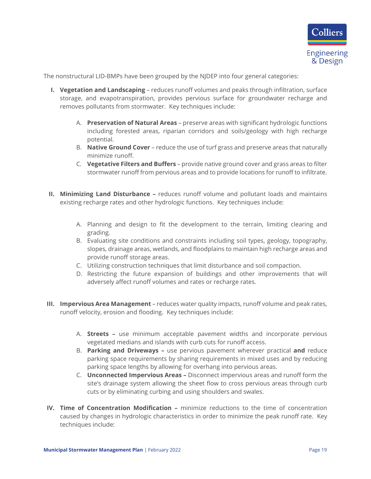

The nonstructural LID-BMPs have been grouped by the NJDEP into four general categories:

- **I. Vegetation and Landscaping** reduces runoff volumes and peaks through infiltration, surface storage, and evapotranspiration, provides pervious surface for groundwater recharge and removes pollutants from stormwater. Key techniques include:
	- A. **Preservation of Natural Areas** preserve areas with significant hydrologic functions including forested areas, riparian corridors and soils/geology with high recharge potential.
	- B. **Native Ground Cover** reduce the use of turf grass and preserve areas that naturally minimize runoff.
	- C. **Vegetative Filters and Buffers**  provide native ground cover and grass areas to filter stormwater runoff from pervious areas and to provide locations for runoff to infiltrate.
- **II. Minimizing Land Disturbance –** reduces runoff volume and pollutant loads and maintains existing recharge rates and other hydrologic functions. Key techniques include:
	- A. Planning and design to fit the development to the terrain, limiting clearing and grading.
	- B. Evaluating site conditions and constraints including soil types, geology, topography, slopes, drainage areas, wetlands, and floodplains to maintain high recharge areas and provide runoff storage areas.
	- C. Utilizing construction techniques that limit disturbance and soil compaction.
	- D. Restricting the future expansion of buildings and other improvements that will adversely affect runoff volumes and rates or recharge rates.
- **III. Impervious Area Management** reduces water quality impacts, runoff volume and peak rates, runoff velocity, erosion and flooding. Key techniques include:
	- A. **Streets –** use minimum acceptable pavement widths and incorporate pervious vegetated medians and islands with curb cuts for runoff access.
	- B. **Parking and Driveways –** use pervious pavement wherever practical **and** reduce parking space requirements by sharing requirements in mixed uses and by reducing parking space lengths by allowing for overhang into pervious areas.
	- C. **Unconnected Impervious Areas –** Disconnect impervious areas and runoff form the site's drainage system allowing the sheet flow to cross pervious areas through curb cuts or by eliminating curbing and using shoulders and swales.
- **IV. Time of Concentration Modification –** minimize reductions to the time of concentration caused by changes in hydrologic characteristics in order to minimize the peak runoff rate. Key techniques include: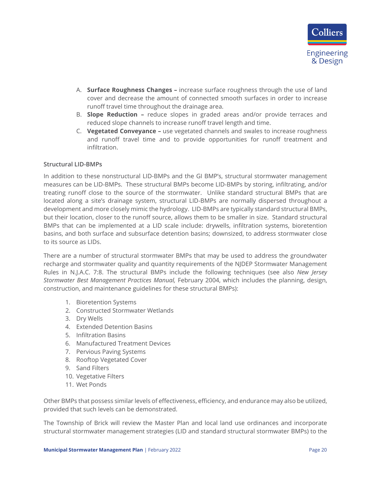- A. **Surface Roughness Changes –** increase surface roughness through the use of land cover and decrease the amount of connected smooth surfaces in order to increase runoff travel time throughout the drainage area.
- B. **Slope Reduction –** reduce slopes in graded areas and/or provide terraces and reduced slope channels to increase runoff travel length and time.
- C. **Vegetated Conveyance –** use vegetated channels and swales to increase roughness and runoff travel time and to provide opportunities for runoff treatment and infiltration.

#### <span id="page-22-0"></span>**Structural LID-BMPs**

In addition to these nonstructural LID-BMPs and the GI BMP's, structural stormwater management measures can be LID-BMPs. These structural BMPs become LID-BMPs by storing, infiltrating, and/or treating runoff close to the source of the stormwater. Unlike standard structural BMPs that are located along a site's drainage system, structural LID-BMPs are normally dispersed throughout a development and more closely mimic the hydrology. LID-BMPs are typically standard structural BMPs, but their location, closer to the runoff source, allows them to be smaller in size. Standard structural BMPs that can be implemented at a LID scale include: drywells, infiltration systems, bioretention basins, and both surface and subsurface detention basins; downsized, to address stormwater close to its source as LIDs.

There are a number of structural stormwater BMPs that may be used to address the groundwater recharge and stormwater quality and quantity requirements of the NJDEP Stormwater Management Rules in N.J.A.C. 7:8. The structural BMPs include the following techniques (see also *New Jersey Stormwater Best Management Practices Manual,* February 2004, which includes the planning, design, construction, and maintenance guidelines for these structural BMPs):

- 1. Bioretention Systems
- 2. Constructed Stormwater Wetlands
- 3. Dry Wells
- 4. Extended Detention Basins
- 5. Infiltration Basins
- 6. Manufactured Treatment Devices
- 7. Pervious Paving Systems
- 8. Rooftop Vegetated Cover
- 9. Sand Filters
- 10. Vegetative Filters
- 11. Wet Ponds

Other BMPs that possess similar levels of effectiveness, efficiency, and endurance may also be utilized, provided that such levels can be demonstrated.

The Township of Brick will review the Master Plan and local land use ordinances and incorporate structural stormwater management strategies (LID and standard structural stormwater BMPs) to the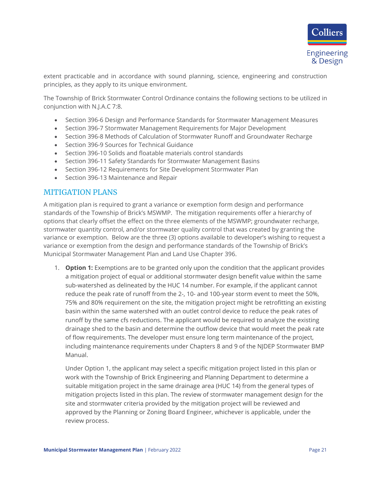

extent practicable and in accordance with sound planning, science, engineering and construction principles, as they apply to its unique environment.

The Township of Brick Stormwater Control Ordinance contains the following sections to be utilized in conjunction with N.J.A.C 7:8.

- Section 396-6 Design and Performance Standards for Stormwater Management Measures
- Section 396-7 Stormwater Management Requirements for Major Development
- Section 396-8 Methods of Calculation of Stormwater Runoff and Groundwater Recharge
- Section 396-9 Sources for Technical Guidance
- Section 396-10 Solids and floatable materials control standards
- Section 396-11 Safety Standards for Stormwater Management Basins
- Section 396-12 Requirements for Site Development Stormwater Plan
- Section 396-13 Maintenance and Repair

### <span id="page-23-0"></span>MITIGATION PLANS

A mitigation plan is required to grant a variance or exemption form design and performance standards of the Township of Brick's MSWMP. The mitigation requirements offer a hierarchy of options that clearly offset the effect on the three elements of the MSWMP; groundwater recharge, stormwater quantity control, and/or stormwater quality control that was created by granting the variance or exemption. Below are the three (3) options available to developer's wishing to request a variance or exemption from the design and performance standards of the Township of Brick's Municipal Stormwater Management Plan and Land Use Chapter 396.

1. **Option 1:** Exemptions are to be granted only upon the condition that the applicant provides a mitigation project of equal or additional stormwater design benefit value within the same sub-watershed as delineated by the HUC 14 number. For example, if the applicant cannot reduce the peak rate of runoff from the 2-, 10- and 100-year storm event to meet the 50%, 75% and 80% requirement on the site, the mitigation project might be retrofitting an existing basin within the same watershed with an outlet control device to reduce the peak rates of runoff by the same cfs reductions. The applicant would be required to analyze the existing drainage shed to the basin and determine the outflow device that would meet the peak rate of flow requirements. The developer must ensure long term maintenance of the project, including maintenance requirements under Chapters 8 and 9 of the NJDEP Stormwater BMP Manual.

Under Option 1, the applicant may select a specific mitigation project listed in this plan or work with the Township of Brick Engineering and Planning Department to determine a suitable mitigation project in the same drainage area (HUC 14) from the general types of mitigation projects listed in this plan. The review of stormwater management design for the site and stormwater criteria provided by the mitigation project will be reviewed and approved by the Planning or Zoning Board Engineer, whichever is applicable, under the review process.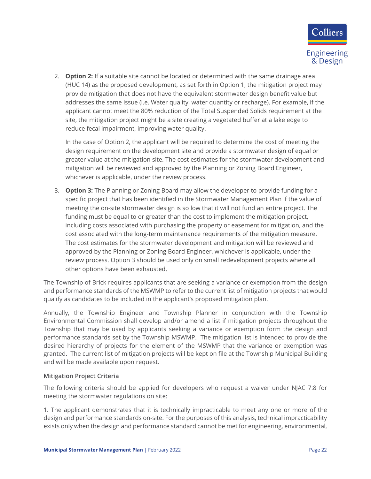

2. **Option 2:** If a suitable site cannot be located or determined with the same drainage area (HUC 14) as the proposed development, as set forth in Option 1, the mitigation project may provide mitigation that does not have the equivalent stormwater design benefit value but addresses the same issue (i.e. Water quality, water quantity or recharge). For example, if the applicant cannot meet the 80% reduction of the Total Suspended Solids requirement at the site, the mitigation project might be a site creating a vegetated buffer at a lake edge to reduce fecal impairment, improving water quality.

In the case of Option 2, the applicant will be required to determine the cost of meeting the design requirement on the development site and provide a stormwater design of equal or greater value at the mitigation site. The cost estimates for the stormwater development and mitigation will be reviewed and approved by the Planning or Zoning Board Engineer, whichever is applicable, under the review process.

3. **Option 3:** The Planning or Zoning Board may allow the developer to provide funding for a specific project that has been identified in the Stormwater Management Plan if the value of meeting the on-site stormwater design is so low that it will not fund an entire project. The funding must be equal to or greater than the cost to implement the mitigation project, including costs associated with purchasing the property or easement for mitigation, and the cost associated with the long-term maintenance requirements of the mitigation measure. The cost estimates for the stormwater development and mitigation will be reviewed and approved by the Planning or Zoning Board Engineer, whichever is applicable, under the review process. Option 3 should be used only on small redevelopment projects where all other options have been exhausted.

The Township of Brick requires applicants that are seeking a variance or exemption from the design and performance standards of the MSWMP to refer to the current list of mitigation projects that would qualify as candidates to be included in the applicant's proposed mitigation plan.

Annually, the Township Engineer and Township Planner in conjunction with the Township Environmental Commission shall develop and/or amend a list if mitigation projects throughout the Township that may be used by applicants seeking a variance or exemption form the design and performance standards set by the Township MSWMP. The mitigation list is intended to provide the desired hierarchy of projects for the element of the MSWMP that the variance or exemption was granted. The current list of mitigation projects will be kept on file at the Township Municipal Building and will be made available upon request.

### <span id="page-24-0"></span>**Mitigation Project Criteria**

The following criteria should be applied for developers who request a waiver under NJAC 7:8 for meeting the stormwater regulations on site:

1. The applicant demonstrates that it is technically impracticable to meet any one or more of the design and performance standards on-site. For the purposes of this analysis, technical impracticability exists only when the design and performance standard cannot be met for engineering, environmental,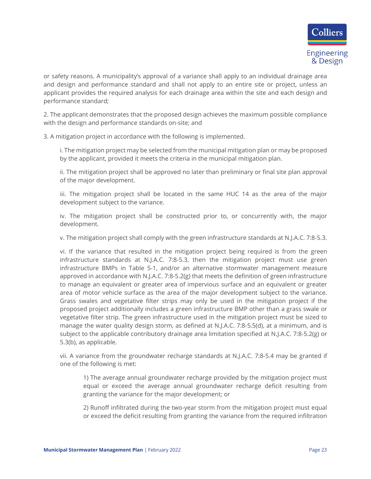or safety reasons. A municipality's approval of a variance shall apply to an individual drainage area and design and performance standard and shall not apply to an entire site or project, unless an applicant provides the required analysis for each drainage area within the site and each design and performance standard;

2. The applicant demonstrates that the proposed design achieves the maximum possible compliance with the design and performance standards on-site; and

3. A mitigation project in accordance with the following is implemented.

i. The mitigation project may be selected from the municipal mitigation plan or may be proposed by the applicant, provided it meets the criteria in the municipal mitigation plan.

ii. The mitigation project shall be approved no later than preliminary or final site plan approval of the major development.

iii. The mitigation project shall be located in the same HUC 14 as the area of the major development subject to the variance.

iv. The mitigation project shall be constructed prior to, or concurrently with, the major development.

v. The mitigation project shall comply with the green infrastructure standards at N.J.A.C. 7:8-5.3.

vi. If the variance that resulted in the mitigation project being required is from the green infrastructure standards at N.J.A.C. 7:8-5.3, then the mitigation project must use green infrastructure BMPs in Table 5-1, and/or an alternative stormwater management measure approved in accordance with N.J.A.C. 7:8-5.2(g) that meets the definition of green infrastructure to manage an equivalent or greater area of impervious surface and an equivalent or greater area of motor vehicle surface as the area of the major development subject to the variance. Grass swales and vegetative filter strips may only be used in the mitigation project if the proposed project additionally includes a green infrastructure BMP other than a grass swale or vegetative filter strip. The green infrastructure used in the mitigation project must be sized to manage the water quality design storm, as defined at N.J.A.C. 7:8-5.5(d), at a minimum, and is subject to the applicable contributory drainage area limitation specified at N.J.A.C. 7:8-5.2(g) or 5.3(b), as applicable.

vii. A variance from the groundwater recharge standards at N.J.A.C. 7:8-5.4 may be granted if one of the following is met:

1) The average annual groundwater recharge provided by the mitigation project must equal or exceed the average annual groundwater recharge deficit resulting from granting the variance for the major development; or

2) Runoff infiltrated during the two-year storm from the mitigation project must equal or exceed the deficit resulting from granting the variance from the required infiltration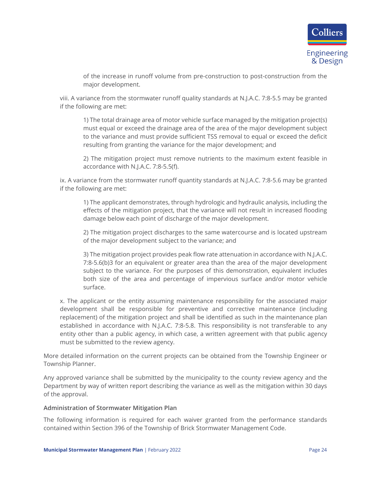

of the increase in runoff volume from pre-construction to post-construction from the major development.

viii. A variance from the stormwater runoff quality standards at N.J.A.C. 7:8-5.5 may be granted if the following are met:

1) The total drainage area of motor vehicle surface managed by the mitigation project(s) must equal or exceed the drainage area of the area of the major development subject to the variance and must provide sufficient TSS removal to equal or exceed the deficit resulting from granting the variance for the major development; and

2) The mitigation project must remove nutrients to the maximum extent feasible in accordance with N.J.A.C. 7:8-5.5(f).

ix. A variance from the stormwater runoff quantity standards at N.J.A.C. 7:8-5.6 may be granted if the following are met:

1) The applicant demonstrates, through hydrologic and hydraulic analysis, including the effects of the mitigation project, that the variance will not result in increased flooding damage below each point of discharge of the major development.

2) The mitigation project discharges to the same watercourse and is located upstream of the major development subject to the variance; and

3) The mitigation project provides peak flow rate attenuation in accordance with N.J.A.C. 7:8-5.6(b)3 for an equivalent or greater area than the area of the major development subject to the variance. For the purposes of this demonstration, equivalent includes both size of the area and percentage of impervious surface and/or motor vehicle surface.

x. The applicant or the entity assuming maintenance responsibility for the associated major development shall be responsible for preventive and corrective maintenance (including replacement) of the mitigation project and shall be identified as such in the maintenance plan established in accordance with N.J.A.C. 7:8-5.8. This responsibility is not transferable to any entity other than a public agency, in which case, a written agreement with that public agency must be submitted to the review agency.

More detailed information on the current projects can be obtained from the Township Engineer or Township Planner.

Any approved variance shall be submitted by the municipality to the county review agency and the Department by way of written report describing the variance as well as the mitigation within 30 days of the approval.

#### <span id="page-26-0"></span>**Administration of Stormwater Mitigation Plan**

The following information is required for each waiver granted from the performance standards contained within Section 396 of the Township of Brick Stormwater Management Code.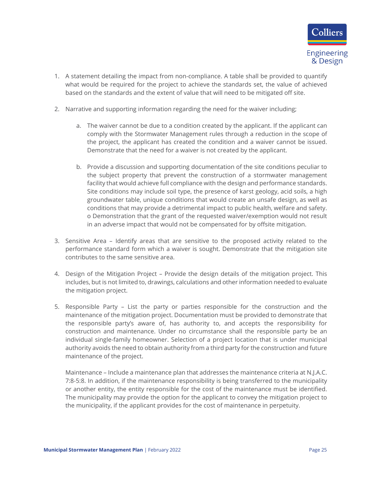

- 1. A statement detailing the impact from non-compliance. A table shall be provided to quantify what would be required for the project to achieve the standards set, the value of achieved based on the standards and the extent of value that will need to be mitigated off site.
- 2. Narrative and supporting information regarding the need for the waiver including;
	- a. The waiver cannot be due to a condition created by the applicant. If the applicant can comply with the Stormwater Management rules through a reduction in the scope of the project, the applicant has created the condition and a waiver cannot be issued. Demonstrate that the need for a waiver is not created by the applicant.
	- b. Provide a discussion and supporting documentation of the site conditions peculiar to the subject property that prevent the construction of a stormwater management facility that would achieve full compliance with the design and performance standards. Site conditions may include soil type, the presence of karst geology, acid soils, a high groundwater table, unique conditions that would create an unsafe design, as well as conditions that may provide a detrimental impact to public health, welfare and safety. o Demonstration that the grant of the requested waiver/exemption would not result in an adverse impact that would not be compensated for by offsite mitigation.
- 3. Sensitive Area Identify areas that are sensitive to the proposed activity related to the performance standard form which a waiver is sought. Demonstrate that the mitigation site contributes to the same sensitive area.
- 4. Design of the Mitigation Project Provide the design details of the mitigation project. This includes, but is not limited to, drawings, calculations and other information needed to evaluate the mitigation project.
- 5. Responsible Party List the party or parties responsible for the construction and the maintenance of the mitigation project. Documentation must be provided to demonstrate that the responsible party's aware of, has authority to, and accepts the responsibility for construction and maintenance. Under no circumstance shall the responsible party be an individual single-family homeowner. Selection of a project location that is under municipal authority avoids the need to obtain authority from a third party for the construction and future maintenance of the project.

Maintenance – Include a maintenance plan that addresses the maintenance criteria at N.J.A.C. 7:8-5:8. In addition, if the maintenance responsibility is being transferred to the municipality or another entity, the entity responsible for the cost of the maintenance must be identified. The municipality may provide the option for the applicant to convey the mitigation project to the municipality, if the applicant provides for the cost of maintenance in perpetuity.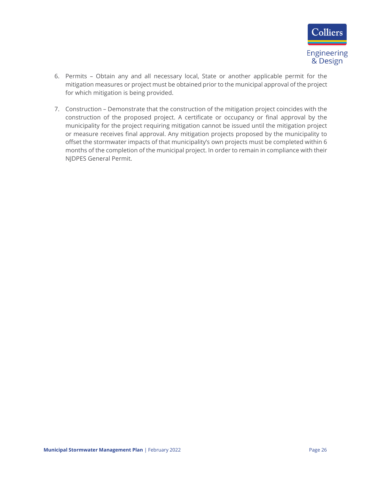

- 6. Permits Obtain any and all necessary local, State or another applicable permit for the mitigation measures or project must be obtained prior to the municipal approval of the project for which mitigation is being provided.
- 7. Construction Demonstrate that the construction of the mitigation project coincides with the construction of the proposed project. A certificate or occupancy or final approval by the municipality for the project requiring mitigation cannot be issued until the mitigation project or measure receives final approval. Any mitigation projects proposed by the municipality to offset the stormwater impacts of that municipality's own projects must be completed within 6 months of the completion of the municipal project. In order to remain in compliance with their NJDPES General Permit.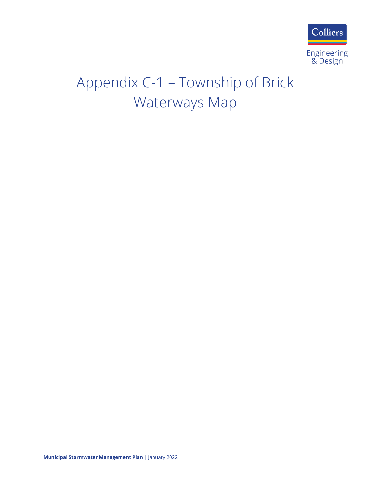

## Appendix C-1 – Township of Brick Waterways Map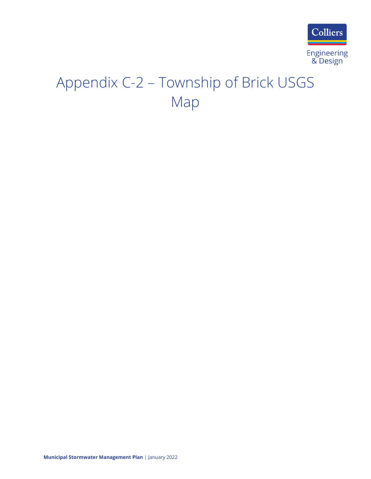

## Appendix C-2 – Township of Brick USGS Map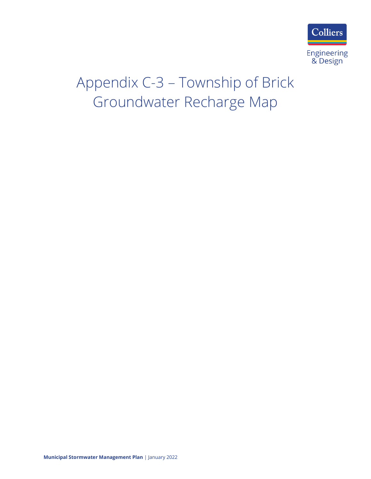

## Appendix C-3 – Township of Brick Groundwater Recharge Map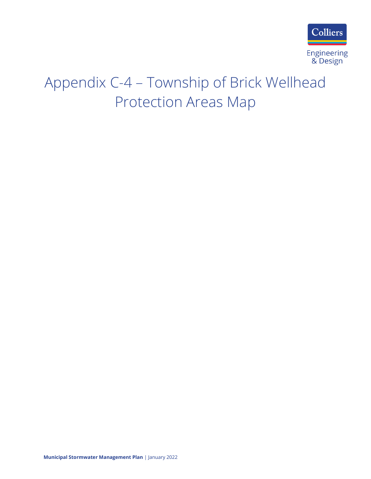

## Appendix C-4 – Township of Brick Wellhead Protection Areas Map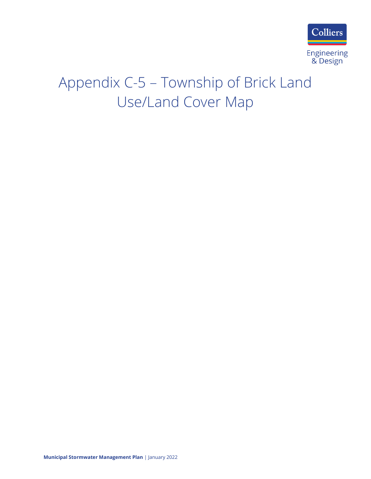

## Appendix C-5 – Township of Brick Land Use/Land Cover Map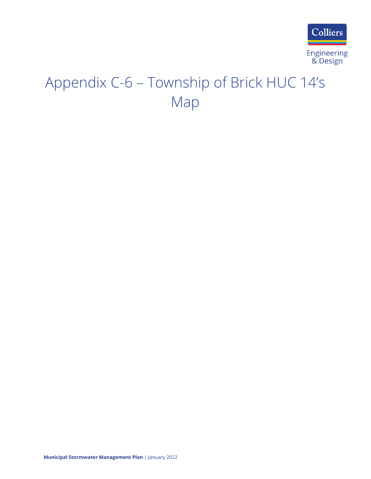

## Appendix C-6 – Township of Brick HUC 14's Map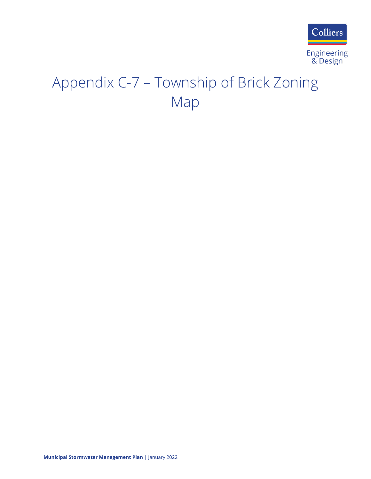

## Appendix C-7 – Township of Brick Zoning Map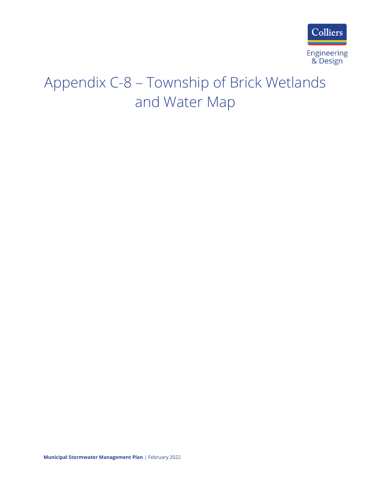

## Appendix C-8 – Township of Brick Wetlands and Water Map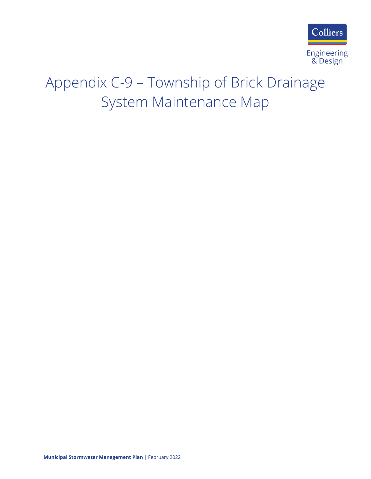

## Appendix C-9 – Township of Brick Drainage System Maintenance Map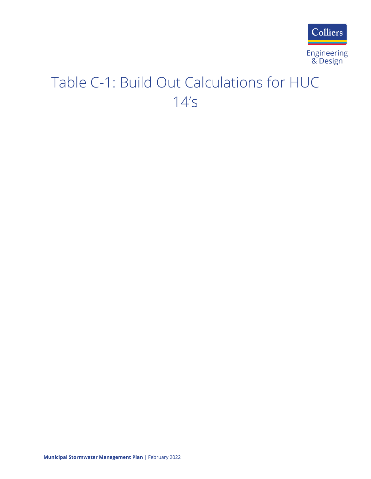

## Table C-1: Build Out Calculations for HUC 14's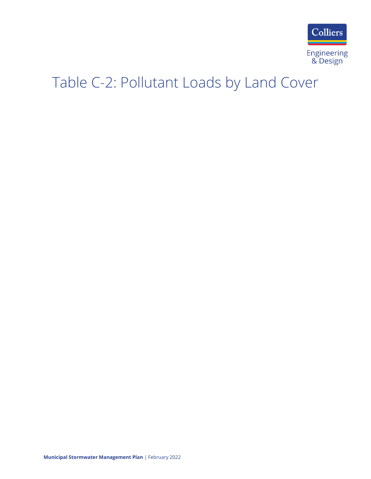

## Table C-2: Pollutant Loads by Land Cover

**Municipal Stormwater Management Plan** | February 2022